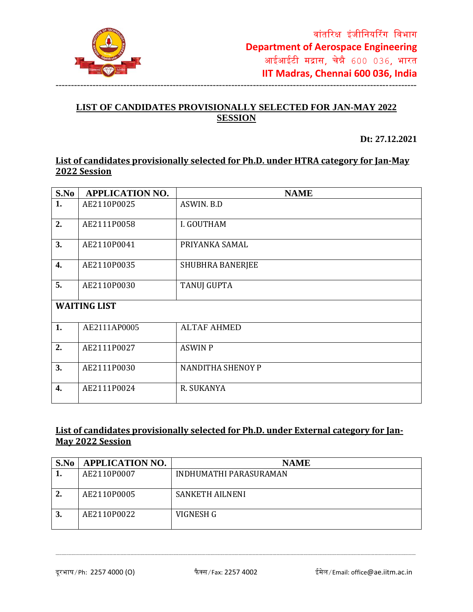

#### **LIST OF CANDIDATES PROVISIONALLY SELECTED FOR JAN-MAY 2022 SESSION**

**Dt: 27.12.2021**

#### **List of candidates provisionally selected for Ph.D. under HTRA category for Jan-May 2022 Session**

| S.No                | <b>APPLICATION NO.</b> | <b>NAME</b>             |  |
|---------------------|------------------------|-------------------------|--|
| 1.                  | AE2110P0025            | ASWIN, B.D              |  |
| 2.                  | AE2111P0058            | I. GOUTHAM              |  |
| 3.                  | AE2110P0041            | PRIYANKA SAMAL          |  |
| $\overline{4}$ .    | AE2110P0035            | <b>SHUBHRA BANERJEE</b> |  |
| 5.                  | AE2110P0030            | <b>TANUJ GUPTA</b>      |  |
| <b>WAITING LIST</b> |                        |                         |  |
| 1.                  | AE2111AP0005           | <b>ALTAF AHMED</b>      |  |
| 2.                  | AE2111P0027            | <b>ASWIN P</b>          |  |
| 3.                  | AE2111P0030            | NANDITHA SHENOY P       |  |
| $\overline{4}$ .    | AE2111P0024            | R. SUKANYA              |  |

# **List of candidates provisionally selected for Ph.D. under External category for Jan-May 2022 Session**

| S.No | <b>APPLICATION NO.</b> | <b>NAME</b>            |
|------|------------------------|------------------------|
|      | AE2110P0007            | INDHUMATHI PARASURAMAN |
|      |                        |                        |
| 2.   | AE2110P0005            | <b>SANKETH AILNENI</b> |
| 3.   | AE2110P0022            | VIGNESH G              |

--------------------------------------------------------------------------------------------------------------------------------------------------------------------------------------------------------------------------------------------------------------